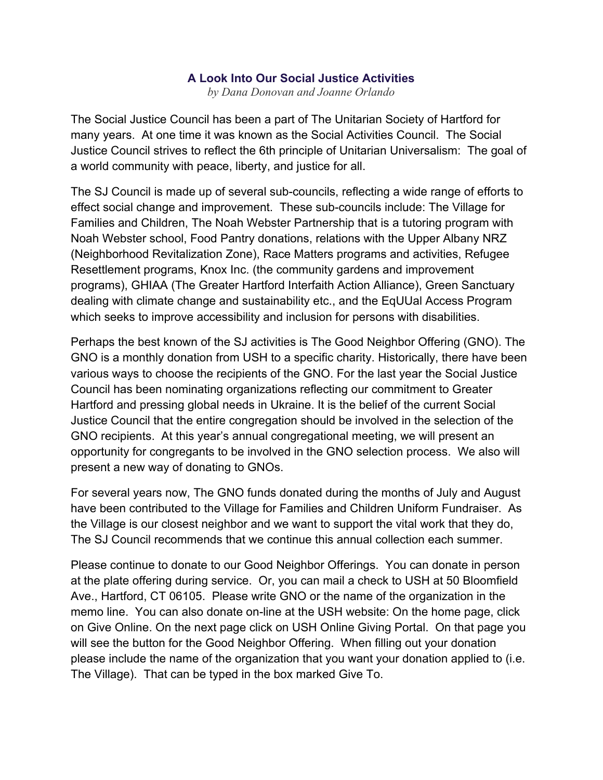## **A Look Into Our Social Justice Activities**

*by Dana Donovan and Joanne Orlando*

The Social Justice Council has been a part of The Unitarian Society of Hartford for many years. At one time it was known as the Social Activities Council. The Social Justice Council strives to reflect the 6th principle of Unitarian Universalism: The goal of a world community with peace, liberty, and justice for all.

The SJ Council is made up of several sub-councils, reflecting a wide range of efforts to effect social change and improvement. These sub-councils include: The Village for Families and Children, The Noah Webster Partnership that is a tutoring program with Noah Webster school, Food Pantry donations, relations with the Upper Albany NRZ (Neighborhood Revitalization Zone), Race Matters programs and activities, Refugee Resettlement programs, Knox Inc. (the community gardens and improvement programs), GHIAA (The Greater Hartford Interfaith Action Alliance), Green Sanctuary dealing with climate change and sustainability etc., and the EqUUal Access Program which seeks to improve accessibility and inclusion for persons with disabilities.

Perhaps the best known of the SJ activities is The Good Neighbor Offering (GNO). The GNO is a monthly donation from USH to a specific charity. Historically, there have been various ways to choose the recipients of the GNO. For the last year the Social Justice Council has been nominating organizations reflecting our commitment to Greater Hartford and pressing global needs in Ukraine. It is the belief of the current Social Justice Council that the entire congregation should be involved in the selection of the GNO recipients. At this year's annual congregational meeting, we will present an opportunity for congregants to be involved in the GNO selection process. We also will present a new way of donating to GNOs.

For several years now, The GNO funds donated during the months of July and August have been contributed to the Village for Families and Children Uniform Fundraiser. As the Village is our closest neighbor and we want to support the vital work that they do, The SJ Council recommends that we continue this annual collection each summer.

Please continue to donate to our Good Neighbor Offerings. You can donate in person at the plate offering during service. Or, you can mail a check to USH at 50 Bloomfield Ave., Hartford, CT 06105. Please write GNO or the name of the organization in the memo line. You can also donate on-line at the USH website: On the home page, click on Give Online. On the next page click on USH Online Giving Portal. On that page you will see the button for the Good Neighbor Offering. When filling out your donation please include the name of the organization that you want your donation applied to (i.e. The Village). That can be typed in the box marked Give To.